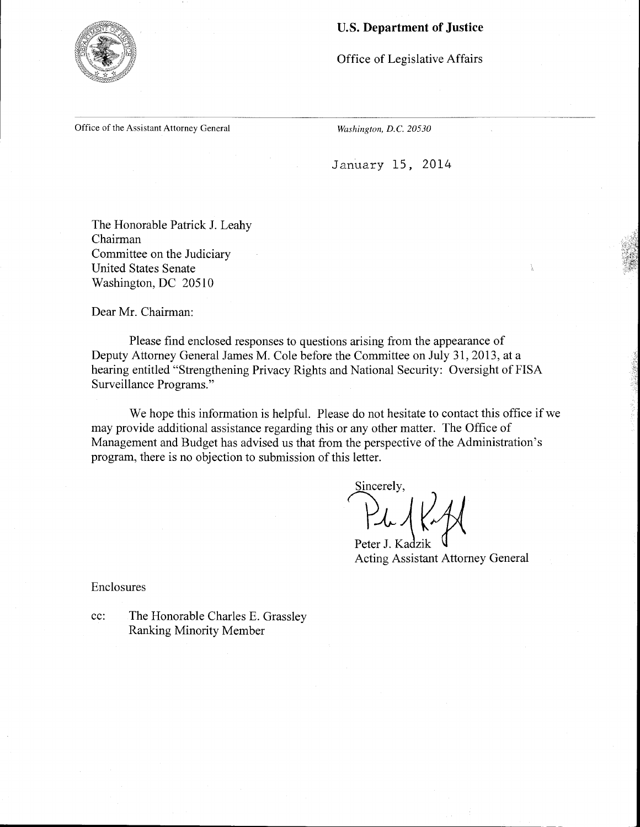### U.S. **Department of Justice**



Office of Legislative Affairs

Office of the Assistant Attorney General

*Washington, D.C. 20530* 

January 15, 2014

The Honorable Patrick J. Leahy Chairman Committee on the Judiciary United States Senate Washington, DC 20510

Dear Mr. Chairman:

Please find enclosed responses to questions arising from the appearance of Deputy Attorney General James M. Cole before the Committee on July 31, 2013, at a hearing entitled "Strengthening Privacy Rights and National Security: Oversight of FISA Surveillance Programs."

We hope this information is helpful. Please do not hesitate to contact this office if we may provide additional assistance regarding this or any other matter. The Office of Management and Budget has advised us that from the perspective of the Administration's program, there is no objection to submission of this letter.

Sincerely,

Peter J. Kadzik Acting Assistant Attorney General

Enclosures

cc: The Honorable Charles E. Grassley Ranking Minority Member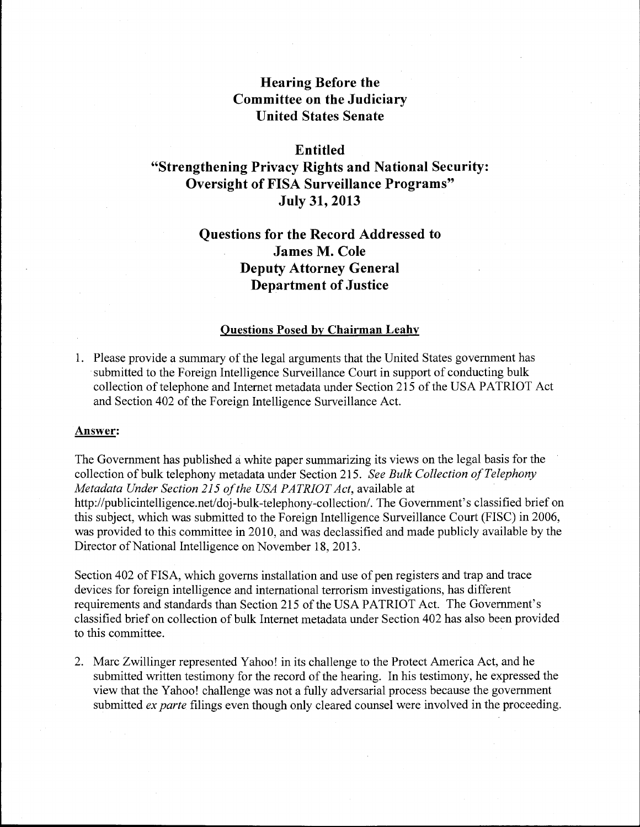# **Hearing Before the Committee on the Judiciary United States Senate**

## **Entitled**

# **"Strengthening Privacy Rights and National Security: Oversight of FISA Surveillance Programs" July 31, 2013**

# **Questions for the Record Addressed to James M. Cole Deputy Attorney General Department of Justice**

### **Questions Posed by Chairman Leahy**

1. Please provide a summary of the legal arguments that the United States government has submitted to the Foreign Intelligence Surveillance Court in support of conducting bulk collection of telephone and Internet metadata under Section 215 of the USA PATRIOT Act and Section 402 of the Foreign Intelligence Surveillance Act.

### **Answer:**

The Government has published a white paper summarizing its views on the legal basis for the collection of bulk telephony metadata under Section 215. *See Bulk Collection ofTelephony Metadata Under Section 215 ofthe USA PATRIOT Act,* available at http://publicintelligence.net/doj-bulk-telephony-collection/. The Government's classified brief on this subject, which was submitted to the Foreign Intelligence Surveillance Court (FISC) in 2006, was provided to this committee in 2010, and was declassified and made publicly available by the Director of National Intelligence on November 18, 2013.

Section 402 of FISA, which governs installation and use of pen registers and trap and trace devices for foreign intelligence and international terrorism investigations, has different requirements and standards than Section 215 of the USA PATRIOT Act. The Government's classified brief on collection of bulk Internet metadata under Section 402 has also been provided to this committee.

2. Marc Zwillinger represented Yahoo! in its challenge to the Protect America Act, and he submitted written testimony for the record of the hearing. In his testimony, he expressed the view that the Yahoo! challenge was not a fully adversarial process because the government submitted *ex parte* filings even though only cleared counsel were involved in the proceeding.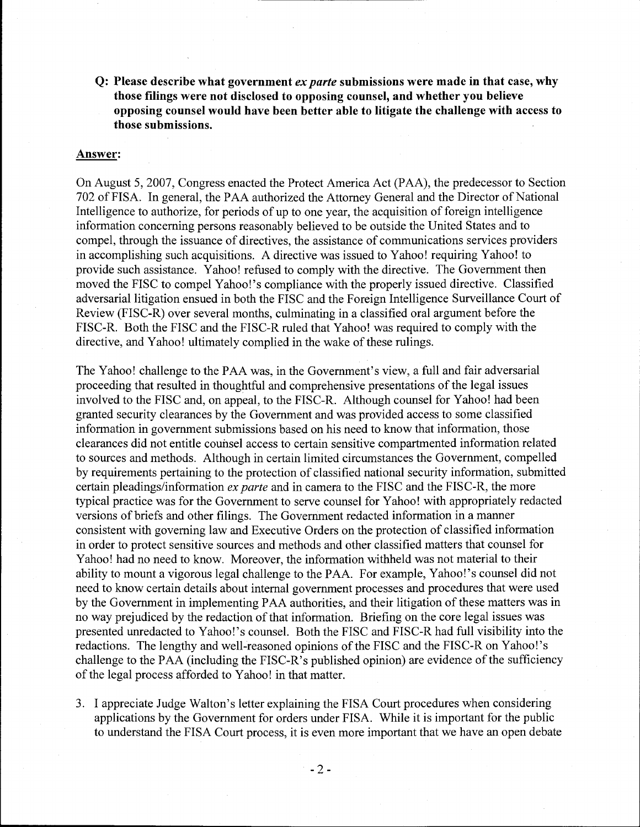Q: Please describe what government *ex parte* submissions were made in that case, why those filings were not disclosed to opposing counsel, and whether you believe opposing counsel would have been better able to litigate the challenge with access to those submissions.

#### Answer:

On August 5, 2007, Congress enacted the Protect America Act (PAA), the predecessor to Section 702 of FISA. In general, the PAA authorized the Attorney General and the Director of National Intelligence to authorize, for periods of up to one year, the acquisition of foreign intelligence information concerning persons reasonably believed to be outside the United States and to compel, through the issuance of directives, the assistance of communications services providers in accomplishing such acquisitions. A directive was issued to Yahoo! requiring Yahoo! to provide such assistance. Yahoo! refused to comply with the directive. The Government then moved the FISC to compel Yahoo!'s compliance with the properly issued directive. Classified adversarial litigation ensued in both the FISC and the Foreign Intelligence Surveillance Court of Review (FISC-R) over several months, culminating in a classified oral argument before the FISC-R. Both the FISC and the FISC-R ruled that Yahoo! was required to comply with the directive, and Yahoo! ultimately complied in the wake of these rulings.

The Yahoo! challenge to the PAA was, in the Government's view, a full and fair adversarial proceeding that resulted in thoughtful and comprehensive presentations of the legal issues involved to the FISC and, on appeal, to the FISC-R. Although counsel for Yahoo! had been granted security clearances by the Government and was provided access to some classified information in government submissions based on his need to know that information, those clearances did not entitle counsel access to certain sensitive compartmented information related to sources and methods. Although in certain limited circumstances the Government, compelled by requirements pertaining to the protection of classified national security information, submitted certain pleadings/information *ex parte* and in camera to the FISC and the FISC-R, the more typical practice was for the Government to serve counsel for Yahoo! with appropriately redacted versions of briefs and other filings. The Government redacted information in a manner consistent with governing law and Executive Orders on the protection of classified information in order to protect sensitive sources and methods and other classified matters that counsel for Yahoo! had no need to know. Moreover, the information withheld was not material to their ability to mount a vigorous legal challenge to the PAA. For example, Yahoo!'s counsel did not need to know certain details about internal government processes and procedures that were used by the Government in implementing PAA authorities, and their litigation of these matters was in no way prejudiced by the redaction of that information. Briefing on the core legal issues was presented unredacted to Yahoo!'s counsel. Both the FISC and FISC-R had full visibility into the redactions. The lengthy and well-reasoned opinions of the FISC and the FISC-Ron Yahoo!'s challenge to the PAA (including the FISC-R's published opinion) are evidence of the sufficiency of the legal process afforded to Yahoo! in that matter.

3. I appreciate Judge Walton's letter explaining the FISA Court procedures when considering applications by the Government for orders under FISA. While it is important for the public to understand the FISA Court process, it is even more important that we have an open debate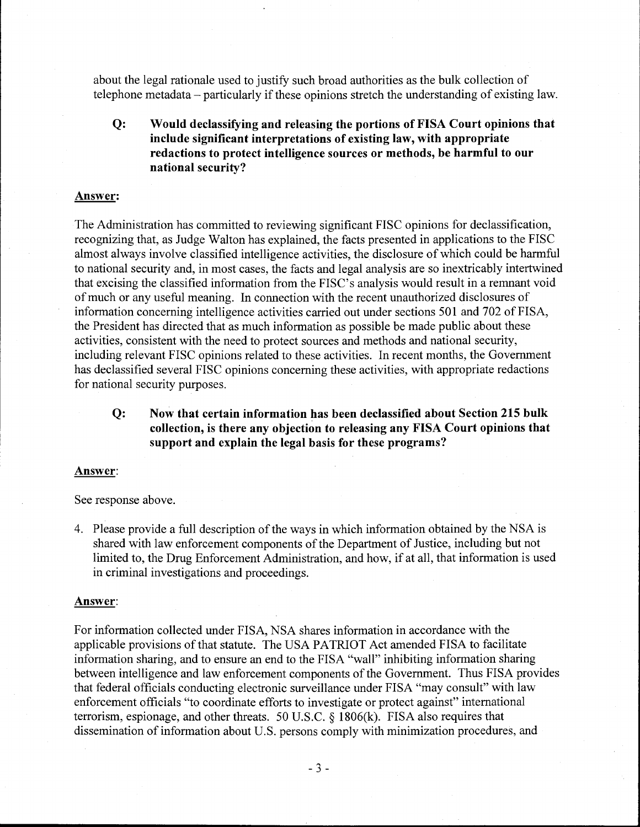about the legal rationale used to justify such broad authorities as the bulk collection of telephone metadata – particularly if these opinions stretch the understanding of existing law.

Q: Would declassifying and releasing the portions of FISA Court opinions that include significant interpretations of existing law, with appropriate redactions to protect intelligence sources or methods, be harmful to our national security?

#### Answer:

The Administration has committed to reviewing significant FISC opinions for declassification, recognizing that, as Judge Walton has explained, the facts presented in applications to the FISC almost always involve classified intelligence activities, the disclosure of which could be harmful to national security and, in most cases, the facts and legal analysis are so inextricably intertwined that excising the classified information from the FISC's analysis would result in a remnant void of much or any useful meaning. In connection with the recent unauthorized disclosures of information concerning intelligence activities carried out under sections 501 and 702 of FISA, the President has directed that as much information as possible be made public about these activities, consistent with the need to protect sources and methods and national security, including relevant FISC opinions related to these activities. In recent months, the Government has declassified several FISC opinions concerning these activities, with appropriate redactions for national security purposes.

Q: Now that certain information has been declassified about Section 215 bulk collection, is there any objection to releasing any FISA Court opinions that support and explain the legal basis for these programs?

#### Answer:

See response above.

4. Please provide a full description of the ways in which information obtained by the NSA is shared with law enforcement components of the Department of Justice, including but not limited to, the Drug Enforcement Administration, and how, if at all, that information is used in criminal investigations and proceedings.

#### Answer:

For information collected under FISA, NSA shares information in accordance with the applicable provisions of that statute. The USA PATRIOT Act amended FISA to facilitate information sharing, and to ensure an end to the FISA "wall" inhibiting information sharing between intelligence and law enforcement components of the Government. Thus FISA provides that federal officials conducting electronic surveillance under FISA "may consult" with law enforcement officials "to coordinate efforts to investigate or protect against" international terrorism, espionage, and other threats. 50 U.S.C. § 1806(k). FISA also requires that dissemination of information about U.S. persons comply with minimization procedures, and